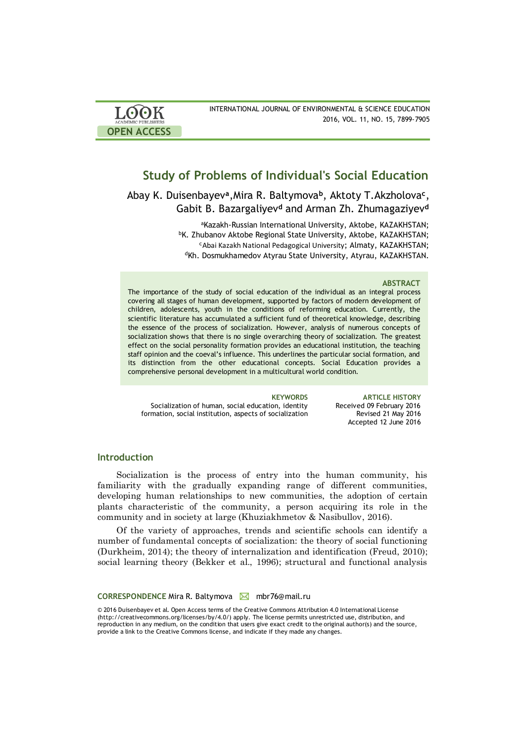| LOOK                | INTERNATIONAL JOURNAL OF ENVIRONMENTAL & SCIENCE EDUCATION |
|---------------------|------------------------------------------------------------|
| ACADEMIC PUBLISHERS | 2016, VOL. 11, NO. 15, 7899-7905                           |
| <b>OPEN ACCESS</b>  |                                                            |

# **Study of Problems of Individual's Social Education**

Abay K. Duisenbayev<sup>a</sup>, Mira R. Baltymova<sup>b</sup>, Aktoty T. Akzholova<sup>c</sup>, Gabit B. Bazargaliyev**<sup>d</sup>** and Arman Zh. Zhumagaziyev**<sup>d</sup>**

> aKazakh-Russian International University, Aktobe, KAZAKHSTAN; **bK. Zhubanov Aktobe Regional State University, Aktobe, KAZAKHSTAN;** <sup>c</sup>Abai Kazakh National Pedagogical University; Almaty, KAZAKHSTAN; <sup>d</sup>Kh. Dosmukhamedov Atyrau State University, Atyrau, KAZAKHSTAN.

### **ABSTRACT**

The importance of the study of social education of the individual as an integral process covering all stages of human development, supported by factors of modern development of children, adolescents, youth in the conditions of reforming education. Currently, the scientific literature has accumulated a sufficient fund of theoretical knowledge, describing the essence of the process of socialization. However, analysis of numerous concepts of socialization shows that there is no single overarching theory of socialization. The greatest effect on the social personality formation provides an educational institution, the teaching staff opinion and the coeval's influence. This underlines the particular social formation, and its distinction from the other educational concepts. Social Education provides a comprehensive personal development in a multicultural world condition.

Socialization of human, social education, identity formation, social institution, aspects of socialization

**KEYWORDS ARTICLE HISTORY** Received 09 February 2016 Revised 21 May 2016 Accepted 12 June 2016

### **Introduction**

Socialization is the process of entry into the human community, his familiarity with the gradually expanding range of different communities, developing human relationships to new communities, the adoption of certain plants characteristic of the community, a person acquiring its role in the community and in society at large (Khuziakhmetov & Nasibullov, 2016).

Of the variety of approaches, trends and scientific schools can identify a number of fundamental concepts of socialization: the theory of social functioning (Durkheim, 2014); the theory of internalization and identification (Freud, 2010); social learning theory (Bekker et al., 1996); structural and functional analysis

**CORRESPONDENCE** Mira R. Baltymova Mmbr76@mail.ru

© 2016 Duisenbayev et al. Open Access terms of the Creative Commons Attribution 4.0 International License (http://creativecommons.org/licenses/by/4.0/) apply. The license permits unrestricted use, distribution, and reproduction in any medium, on the condition that users give exact credit to the original author(s) and the source, provide a link to the Creative Commons license, and indicate if they made any changes.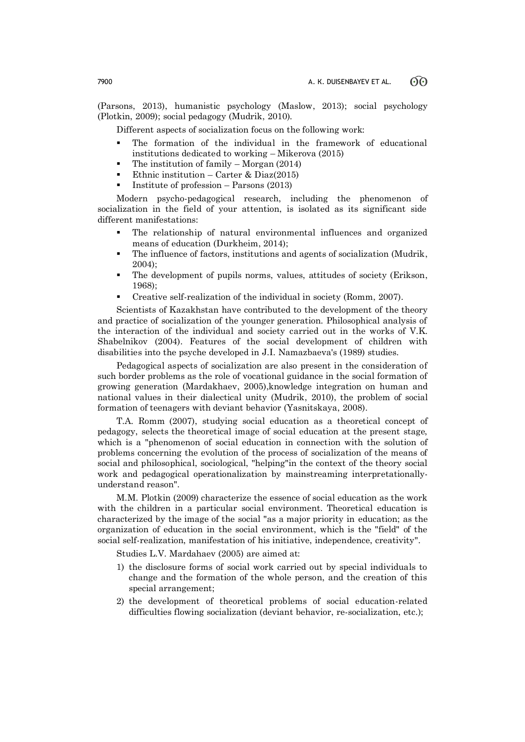(Parsons, 2013), humanistic psychology (Maslow, 2013); social psychology (Plotkin, 2009); social pedagogy (Mudrik, 2010).

Different aspects of socialization focus on the following work:

- The formation of the individual in the framework of educational institutions dedicated to working – Mikerova (2015)
- The institution of family Morgan (2014)
- Ethnic institution Carter & Diaz(2015)
- Institute of profession Parsons (2013)

Modern psycho-pedagogical research, including the phenomenon of socialization in the field of your attention, is isolated as its significant side different manifestations:

- The relationship of natural environmental influences and organized means of education (Durkheim, 2014);
- The influence of factors, institutions and agents of socialization (Mudrik, 2004);
- The development of pupils norms, values, attitudes of society (Erikson, 1968);
- Creative self-realization of the individual in society (Romm, 2007).

Scientists of Kazakhstan have contributed to the development of the theory and practice of socialization of the younger generation. Philosophical analysis of the interaction of the individual and society carried out in the works of V.K. Shabelnikov (2004). Features of the social development of children with disabilities into the psyche developed in J.I. Namazbaeva's (1989) studies.

Pedagogical aspects of socialization are also present in the consideration of such border problems as the role of vocational guidance in the social formation of growing generation (Mardakhaev, 2005),knowledge integration on human and national values in their dialectical unity (Mudrik, 2010), the problem of social formation of teenagers with deviant behavior (Yasnitskaya, 2008).

T.A. Romm (2007), studying social education as a theoretical concept of pedagogy, selects the theoretical image of social education at the present stage, which is a "phenomenon of social education in connection with the solution of problems concerning the evolution of the process of socialization of the means of social and philosophical, sociological, "helping"in the context of the theory social work and pedagogical operationalization by mainstreaming interpretationallyunderstand reason".

M.M. Plotkin (2009) characterize the essence of social education as the work with the children in a particular social environment. Theoretical education is characterized by the image of the social "as a major priority in education; as the organization of education in the social environment, which is the "field" of the social self-realization, manifestation of his initiative, independence, creativity".

Studies L.V. Mardahaev (2005) are aimed at:

- 1) the disclosure forms of social work carried out by special individuals to change and the formation of the whole person, and the creation of this special arrangement;
- 2) the development of theoretical problems of social education-related difficulties flowing socialization (deviant behavior, re-socialization, etc.);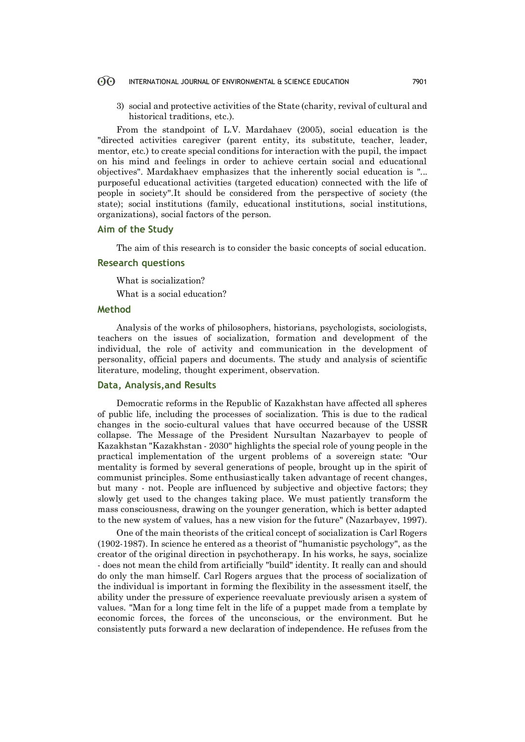#### 60 INTERNATIONAL JOURNAL OF ENVIRONMENTAL & SCIENCE EDUCATION 7901

3) social and protective activities of the State (charity, revival of cultural and historical traditions, etc.).

From the standpoint of L.V. Mardahaev (2005), social education is the "directed activities caregiver (parent entity, its substitute, teacher, leader, mentor, etc.) to create special conditions for interaction with the pupil, the impact on his mind and feelings in order to achieve certain social and educational objectives". Mardakhaev emphasizes that the inherently social education is "... purposeful educational activities (targeted education) connected with the life of people in society".It should be considered from the perspective of society (the state); social institutions (family, educational institutions, social institutions, organizations), social factors of the person.

## **Aim of the Study**

The aim of this research is to consider the basic concepts of social education.

### **Research questions**

What is socialization?

What is a social education?

# **Method**

Analysis of the works of philosophers, historians, psychologists, sociologists, teachers on the issues of socialization, formation and development of the individual, the role of activity and communication in the development of personality, official papers and documents. The study and analysis of scientific literature, modeling, thought experiment, observation.

# **Data, Analysis,and Results**

Democratic reforms in the Republic of Kazakhstan have affected all spheres of public life, including the processes of socialization. This is due to the radical changes in the socio-cultural values that have occurred because of the USSR collapse. The Message of the President Nursultan Nazarbayev to people of Kazakhstan "Kazakhstan - 2030" highlights the special role of young people in the practical implementation of the urgent problems of a sovereign state: "Our mentality is formed by several generations of people, brought up in the spirit of communist principles. Some enthusiastically taken advantage of recent changes, but many - not. People are influenced by subjective and objective factors; they slowly get used to the changes taking place. We must patiently transform the mass consciousness, drawing on the younger generation, which is better adapted to the new system of values, has a new vision for the future" (Nazarbayev, 1997).

One of the main theorists of the critical concept of socialization is Carl Rogers (1902-1987). In science he entered as a theorist of "humanistic psychology", as the creator of the original direction in psychotherapy. In his works, he says, socialize - does not mean the child from artificially "build" identity. It really can and should do only the man himself. Carl Rogers argues that the process of socialization of the individual is important in forming the flexibility in the assessment itself, the ability under the pressure of experience reevaluate previously arisen a system of values. "Man for a long time felt in the life of a puppet made from a template by economic forces, the forces of the unconscious, or the environment. But he consistently puts forward a new declaration of independence. He refuses from the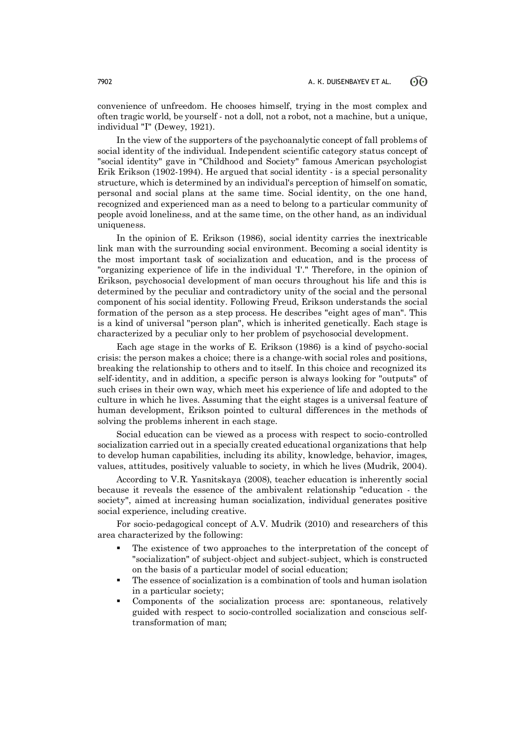convenience of unfreedom. He chooses himself, trying in the most complex and often tragic world, be yourself - not a doll, not a robot, not a machine, but a unique, individual "I" (Dewey, 1921).

In the view of the supporters of the psychoanalytic concept of fall problems of social identity of the individual. Independent scientific category status concept of "social identity" gave in "Childhood and Society" famous American psychologist Erik Erikson (1902-1994). He argued that social identity - is a special personality structure, which is determined by an individual's perception of himself on somatic, personal and social plans at the same time. Social identity, on the one hand, recognized and experienced man as a need to belong to a particular community of people avoid loneliness, and at the same time, on the other hand, as an individual uniqueness.

In the opinion of E. Erikson (1986), social identity carries the inextricable link man with the surrounding social environment. Becoming a social identity is the most important task of socialization and education, and is the process of "organizing experience of life in the individual 'I'." Therefore, in the opinion of Erikson, psychosocial development of man occurs throughout his life and this is determined by the peculiar and contradictory unity of the social and the personal component of his social identity. Following Freud, Erikson understands the social formation of the person as a step process. He describes "eight ages of man". This is a kind of universal "person plan", which is inherited genetically. Each stage is characterized by a peculiar only to her problem of psychosocial development.

Each age stage in the works of E. Erikson (1986) is a kind of psycho-social crisis: the person makes a choice; there is a change-with social roles and positions, breaking the relationship to others and to itself. In this choice and recognized its self-identity, and in addition, a specific person is always looking for "outputs" of such crises in their own way, which meet his experience of life and adopted to the culture in which he lives. Assuming that the eight stages is a universal feature of human development, Erikson pointed to cultural differences in the methods of solving the problems inherent in each stage.

Social education can be viewed as a process with respect to socio-controlled socialization carried out in a specially created educational organizations that help to develop human capabilities, including its ability, knowledge, behavior, images, values, attitudes, positively valuable to society, in which he lives (Mudrik, 2004).

According to V.R. Yasnitskaya (2008), teacher education is inherently social because it reveals the essence of the ambivalent relationship "education - the society", aimed at increasing human socialization, individual generates positive social experience, including creative.

For socio-pedagogical concept of A.V. Mudrik (2010) and researchers of this area characterized by the following:

- The existence of two approaches to the interpretation of the concept of "socialization" of subject-object and subject-subject, which is constructed on the basis of a particular model of social education;
- The essence of socialization is a combination of tools and human isolation in a particular society;
- Components of the socialization process are: spontaneous, relatively guided with respect to socio-controlled socialization and conscious selftransformation of man;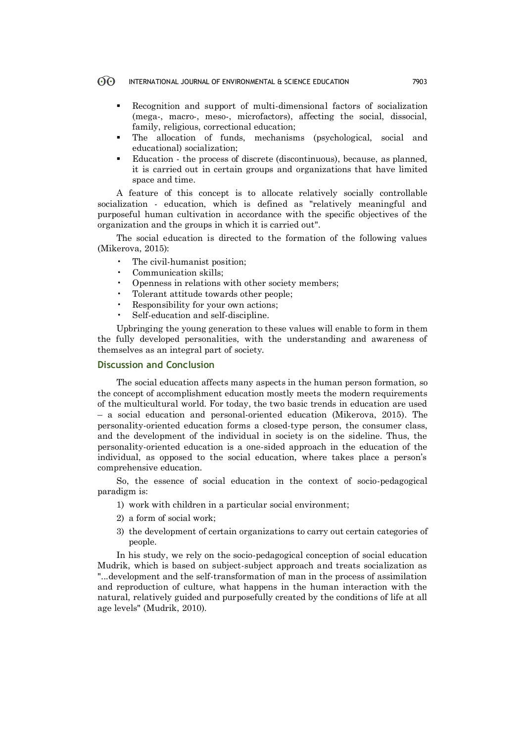#### $\Theta$ INTERNATIONAL JOURNAL OF ENVIRONMENTAL & SCIENCE EDUCATION 7903

- Recognition and support of multi-dimensional factors of socialization (mega-, macro-, meso-, microfactors), affecting the social, dissocial, family, religious, correctional education;
- The allocation of funds, mechanisms (psychological, social and educational) socialization;
- Education the process of discrete (discontinuous), because, as planned, it is carried out in certain groups and organizations that have limited space and time.

A feature of this concept is to allocate relatively socially controllable socialization - education, which is defined as "relatively meaningful and purposeful human cultivation in accordance with the specific objectives of the organization and the groups in which it is carried out".

The social education is directed to the formation of the following values (Mikerova, 2015):

- The civil-humanist position;
- Communication skills;
- Openness in relations with other society members;
- Tolerant attitude towards other people;
- Responsibility for your own actions;
- Self-education and self-discipline.

Upbringing the young generation to these values will enable to form in them the fully developed personalities, with the understanding and awareness of themselves as an integral part of society.

# **Discussion and Conclusion**

The social education affects many aspects in the human person formation, so the concept of accomplishment education mostly meets the modern requirements of the multicultural world. For today, the two basic trends in education are used – a social education and personal-oriented education (Mikerova, 2015). The personality-oriented education forms a closed-type person, the consumer class, and the development of the individual in society is on the sideline. Thus, the personality-oriented education is a one-sided approach in the education of the individual, as opposed to the social education, where takes place a person's comprehensive education.

So, the essence of social education in the context of socio-pedagogical paradigm is:

- 1) work with children in a particular social environment;
- 2) a form of social work;
- 3) the development of certain organizations to carry out certain categories of people.

In his study, we rely on the socio-pedagogical conception of social education Mudrik, which is based on subject-subject approach and treats socialization as "...development and the self-transformation of man in the process of assimilation and reproduction of culture, what happens in the human interaction with the natural, relatively guided and purposefully created by the conditions of life at all age levels" (Mudrik, 2010).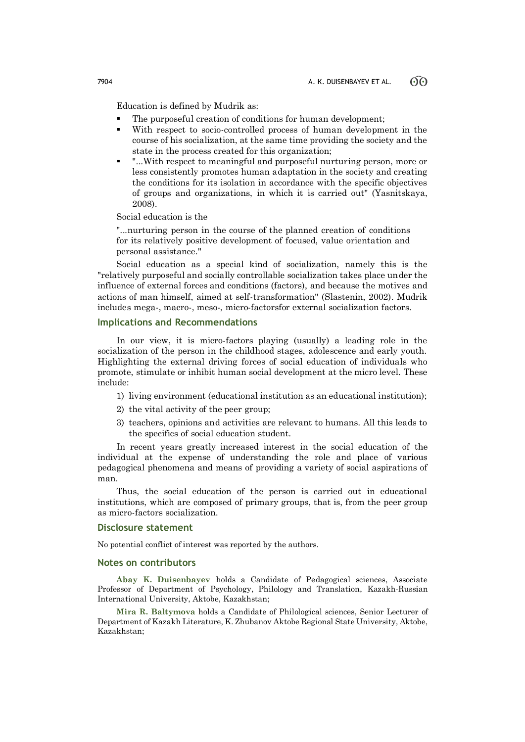Education is defined by Mudrik as:

- The purposeful creation of conditions for human development;
- With respect to socio-controlled process of human development in the course of his socialization, at the same time providing the society and the state in the process created for this organization;
- "...With respect to meaningful and purposeful nurturing person, more or less consistently promotes human adaptation in the society and creating the conditions for its isolation in accordance with the specific objectives of groups and organizations, in which it is carried out" (Yasnitskaya, 2008).

Social education is the

"...nurturing person in the course of the planned creation of conditions for its relatively positive development of focused, value orientation and personal assistance."

Social education as a special kind of socialization, namely this is the "relatively purposeful and socially controllable socialization takes place under the influence of external forces and conditions (factors), and because the motives and actions of man himself, aimed at self-transformation" (Slastenin, 2002). Mudrik includes mega-, macro-, meso-, micro-factorsfor external socialization factors.

# **Implications and Recommendations**

In our view, it is micro-factors playing (usually) a leading role in the socialization of the person in the childhood stages, adolescence and early youth. Highlighting the external driving forces of social education of individuals who promote, stimulate or inhibit human social development at the micro level. These include:

- 1) living environment (educational institution as an educational institution);
- 2) the vital activity of the peer group;
- 3) teachers, opinions and activities are relevant to humans. All this leads to the specifics of social education student.

In recent years greatly increased interest in the social education of the individual at the expense of understanding the role and place of various pedagogical phenomena and means of providing a variety of social aspirations of man.

Thus, the social education of the person is carried out in educational institutions, which are composed of primary groups, that is, from the peer group as micro-factors socialization.

# **Disclosure statement**

No potential conflict of interest was reported by the authors.

## **Notes on contributors**

**Abay K. Duisenbayev** holds a Candidate of Pedagogical sciences, Associate Professor of Department of Psychology, Philology and Translation, Kazakh-Russian International University, Aktobe, Kazakhstan;

**Mira R. Baltymova** holds a Candidate of Philological sciences, Senior Lecturer of Department of Kazakh Literature, K. Zhubanov Aktobe Regional State University, Aktobe, Kazakhstan;